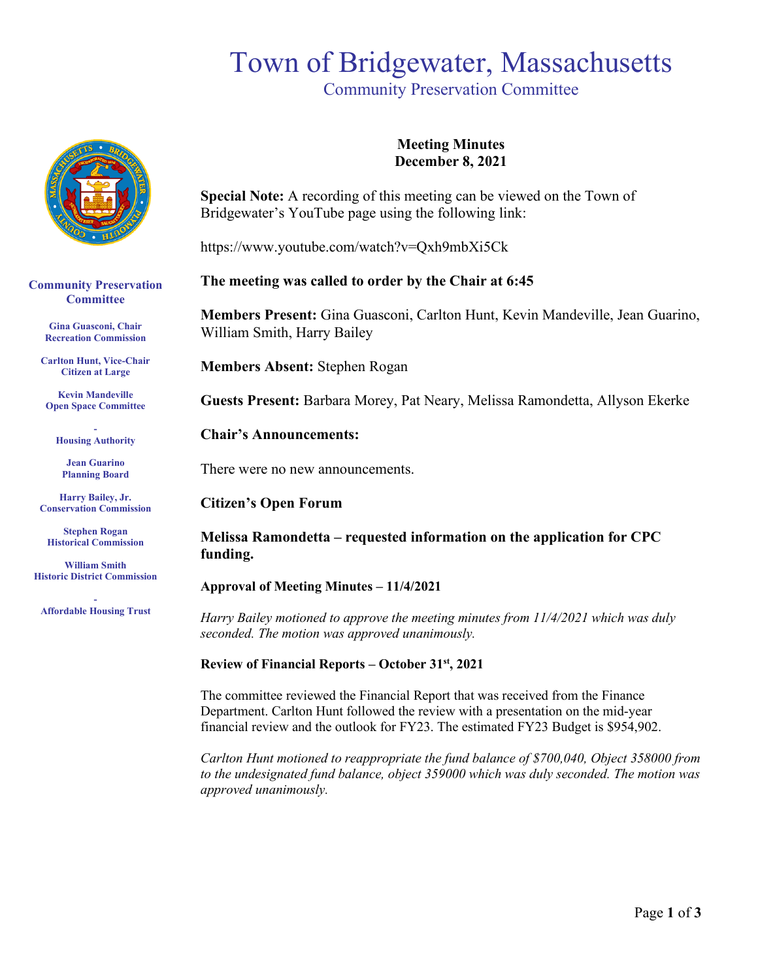# Town of Bridgewater, Massachusetts

Community Preservation Committee



**Community Preservation Committee** 

> **Gina Guasconi, Chair Recreation Commission**

**Carlton Hunt, Vice-Chair Citizen at Large**

**Kevin Mandeville Open Space Committee**

**- Housing Authority**

**Jean Guarino Planning Board**

**Harry Bailey, Jr. Conservation Commission** 

**Stephen Rogan Historical Commission**

**William Smith Historic District Commission**

**- Affordable Housing Trust**

# **Meeting Minutes December 8, 2021**

**Special Note:** A recording of this meeting can be viewed on the Town of Bridgewater's YouTube page using the following link:

https://www.youtube.com/watch?v=Qxh9mbXi5Ck

# **The meeting was called to order by the Chair at 6:45**

**Members Present:** Gina Guasconi, Carlton Hunt, Kevin Mandeville, Jean Guarino, William Smith, Harry Bailey

**Members Absent:** Stephen Rogan

**Guests Present:** Barbara Morey, Pat Neary, Melissa Ramondetta, Allyson Ekerke

**Chair's Announcements:** 

There were no new announcements.

### **Citizen's Open Forum**

**Melissa Ramondetta – requested information on the application for CPC funding.**

**Approval of Meeting Minutes – 11/4/2021**

*Harry Bailey motioned to approve the meeting minutes from 11/4/2021 which was duly seconded. The motion was approved unanimously.* 

### **Review of Financial Reports – October 31st, 2021**

The committee reviewed the Financial Report that was received from the Finance Department. Carlton Hunt followed the review with a presentation on the mid-year financial review and the outlook for FY23. The estimated FY23 Budget is \$954,902.

*Carlton Hunt motioned to reappropriate the fund balance of \$700,040, Object 358000 from to the undesignated fund balance, object 359000 which was duly seconded. The motion was approved unanimously.*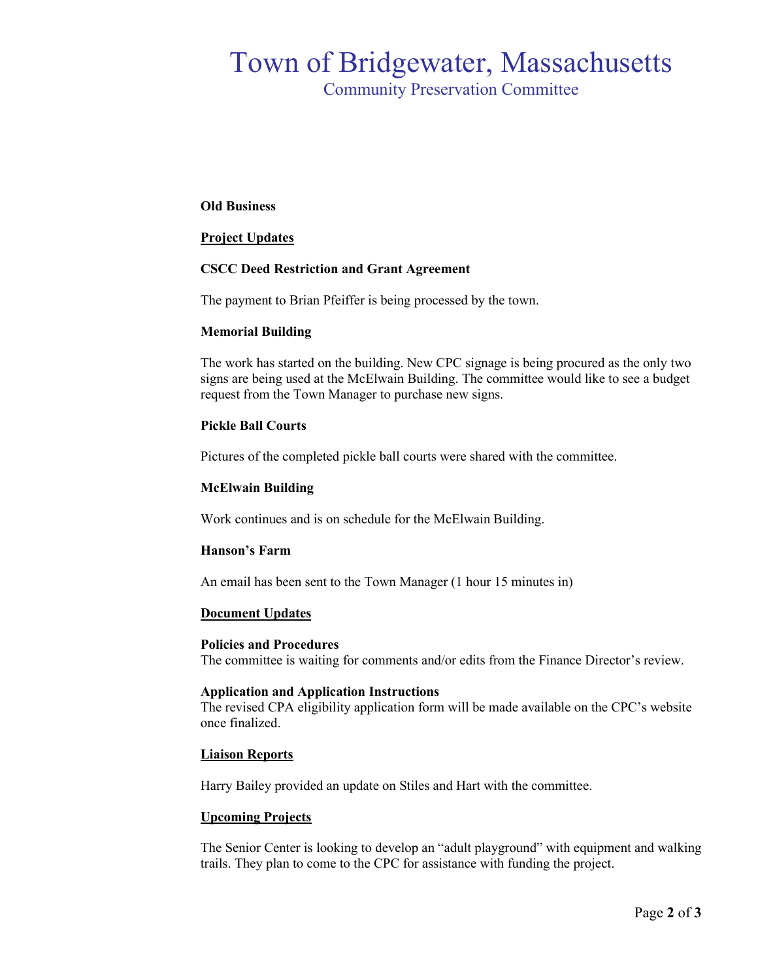# Town of Bridgewater, Massachusetts

Community Preservation Committee

#### **Old Business**

#### **Project Updates**

#### **CSCC Deed Restriction and Grant Agreement**

The payment to Brian Pfeiffer is being processed by the town.

#### **Memorial Building**

The work has started on the building. New CPC signage is being procured as the only two signs are being used at the McElwain Building. The committee would like to see a budget request from the Town Manager to purchase new signs.

#### **Pickle Ball Courts**

Pictures of the completed pickle ball courts were shared with the committee.

#### **McElwain Building**

Work continues and is on schedule for the McElwain Building.

#### **Hanson's Farm**

An email has been sent to the Town Manager (1 hour 15 minutes in)

#### **Document Updates**

#### **Policies and Procedures**

The committee is waiting for comments and/or edits from the Finance Director's review.

#### **Application and Application Instructions**

The revised CPA eligibility application form will be made available on the CPC's website once finalized.

#### **Liaison Reports**

Harry Bailey provided an update on Stiles and Hart with the committee.

#### **Upcoming Projects**

The Senior Center is looking to develop an "adult playground" with equipment and walking trails. They plan to come to the CPC for assistance with funding the project.